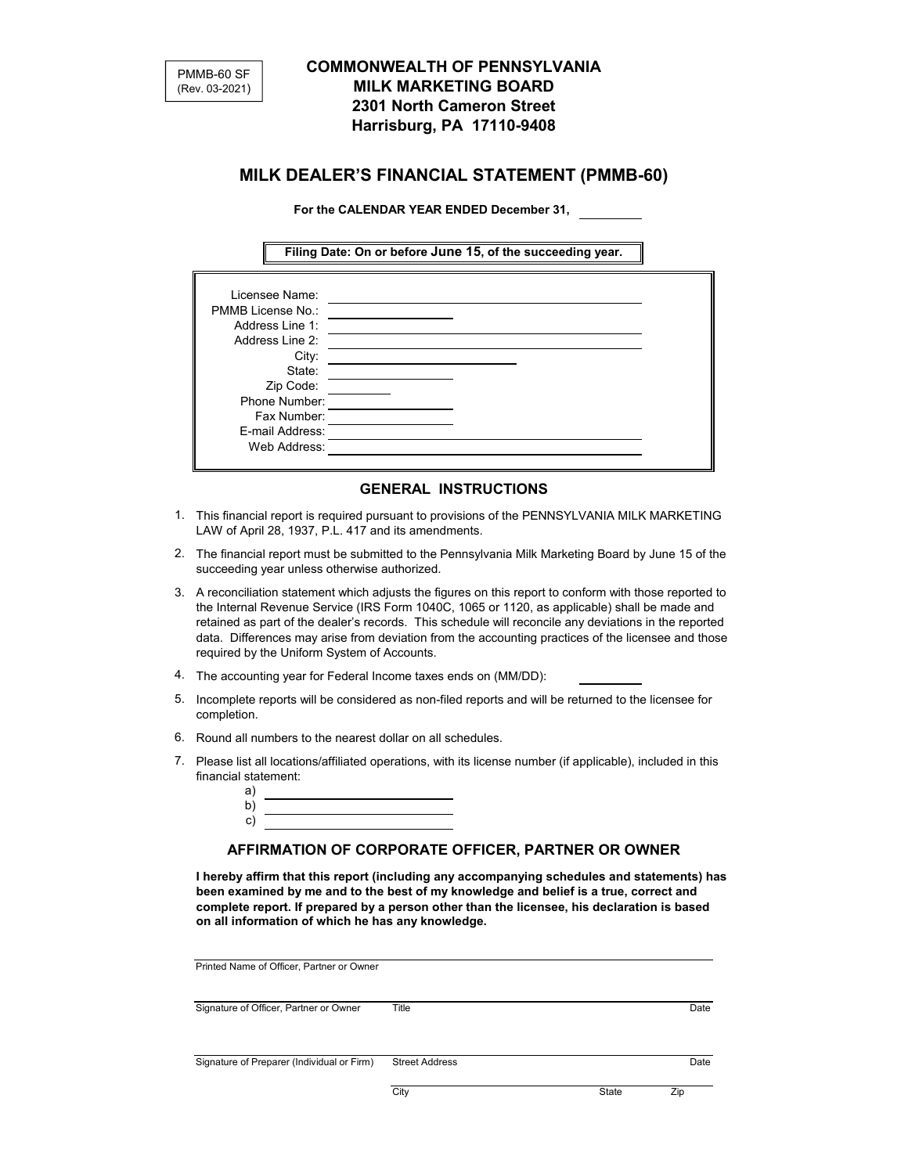

# **COMMONWEALTH OF PENNSYLVANIA MILK MARKETING BOARD 2301 North Cameron Street Harrisburg, PA 17110-9408**

# **MILK DEALER'S FINANCIAL STATEMENT (PMMB-60)**

**For the CALENDAR YEAR ENDED December 31,** 

**Filing Date: On or before June 15, of the succeeding year.**

| Licensee Name:<br>PMMB License No.:<br>Address Line 1:<br>Address Line 2:<br>City: |
|------------------------------------------------------------------------------------|
|                                                                                    |
|                                                                                    |
|                                                                                    |
|                                                                                    |
| State:                                                                             |
| Zip Code:                                                                          |
| Phone Number:                                                                      |
| Fax Number:                                                                        |
| E-mail Address:                                                                    |
| Web Address:                                                                       |

## **GENERAL INSTRUCTIONS**

- 1. This financial report is required pursuant to provisions of the PENNSYLVANIA MILK MARKETING LAW of April 28, 1937, P.L. 417 and its amendments.
- 2. The financial report must be submitted to the Pennsylvania Milk Marketing Board by June 15 of the succeeding year unless otherwise authorized.
- 3. A reconciliation statement which adjusts the figures on this report to conform with those reported to the Internal Revenue Service (IRS Form 1040C, 1065 or 1120, as applicable) shall be made and retained as part of the dealer's records. This schedule will reconcile any deviations in the reported data. Differences may arise from deviation from the accounting practices of the licensee and those required by the Uniform System of Accounts.
- 4. The accounting year for Federal Income taxes ends on (MM/DD):
- 5. Incomplete reports will be considered as non-filed reports and will be returned to the licensee for completion.
- 6. Round all numbers to the nearest dollar on all schedules.
- 7. Please list all locations/affiliated operations, with its license number (if applicable), included in this financial statement:

| $\mathbf{d}$ |  |
|--------------|--|
| n            |  |
| Ÿ            |  |

### **AFFIRMATION OF CORPORATE OFFICER, PARTNER OR OWNER**

**I hereby affirm that this report (including any accompanying schedules and statements) has been examined by me and to the best of my knowledge and belief is a true, correct and complete report. If prepared by a person other than the licensee, his declaration is based on all information of which he has any knowledge.**

| Printed Name of Officer, Partner or Owner  |                       |       |      |
|--------------------------------------------|-----------------------|-------|------|
| Signature of Officer, Partner or Owner     | Title                 |       | Date |
| Signature of Preparer (Individual or Firm) | <b>Street Address</b> |       | Date |
|                                            | City                  | State | Zip  |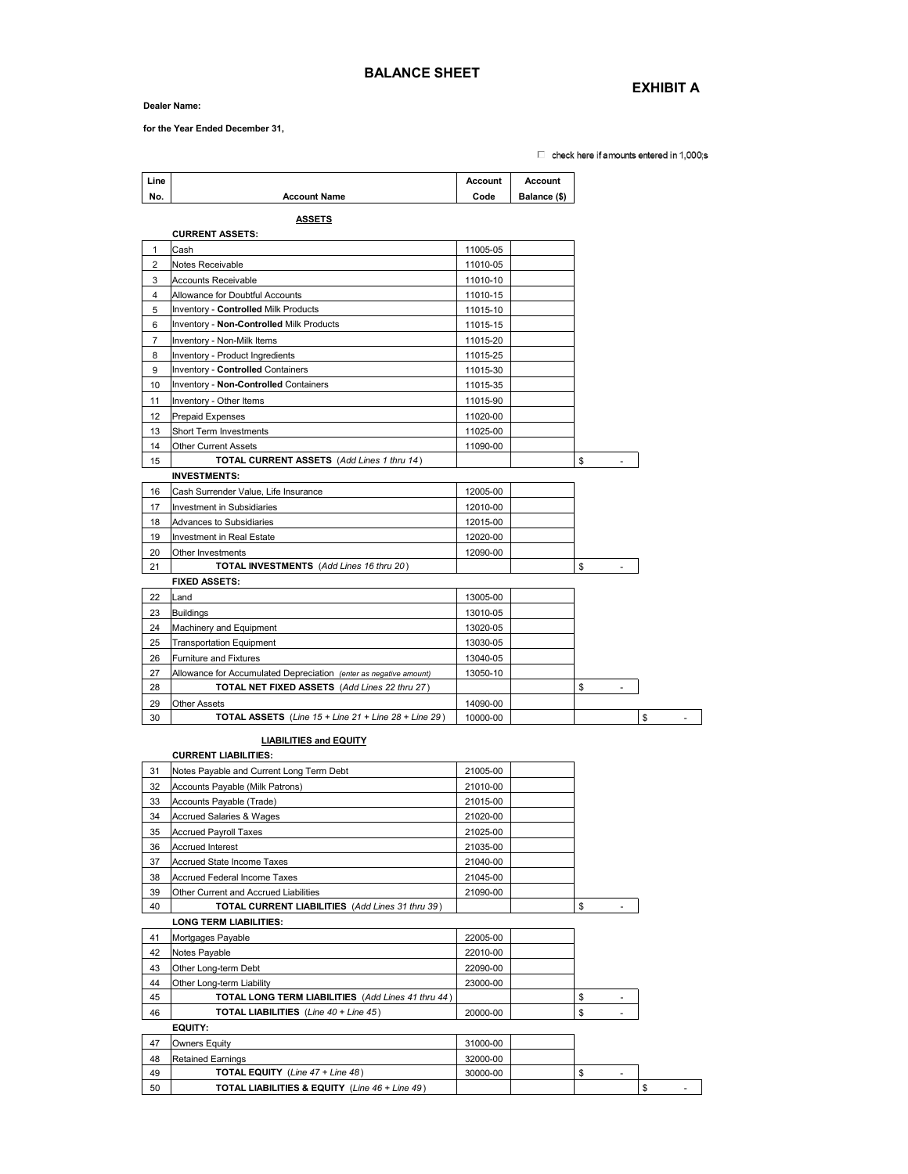#### **Dealer Name:**

**for the Year Ended December 31,** 

 $\Box$  check here if amounts entered in 1,000;s

| Line           |                                                                      | Account  | <b>Account</b> |    |
|----------------|----------------------------------------------------------------------|----------|----------------|----|
| No.            | <b>Account Name</b>                                                  | Code     | Balance (\$)   |    |
|                |                                                                      |          |                |    |
|                | <u>ASSETS</u>                                                        |          |                |    |
|                | <b>CURRENT ASSETS:</b>                                               |          |                |    |
| 1              | Cash                                                                 | 11005-05 |                |    |
| 2              | Notes Receivable                                                     | 11010-05 |                |    |
| 3              | <b>Accounts Receivable</b>                                           | 11010-10 |                |    |
| 4              | Allowance for Doubtful Accounts                                      | 11010-15 |                |    |
| 5              | Inventory - Controlled Milk Products                                 | 11015-10 |                |    |
| 6              | Inventory - Non-Controlled Milk Products                             | 11015-15 |                |    |
| $\overline{7}$ | Inventory - Non-Milk Items                                           | 11015-20 |                |    |
| 8              | Inventory - Product Ingredients                                      | 11015-25 |                |    |
| 9              | Inventory - Controlled Containers                                    | 11015-30 |                |    |
| 10             | Inventory - Non-Controlled Containers                                | 11015-35 |                |    |
| 11             | Inventory - Other Items                                              | 11015-90 |                |    |
| 12             | Prepaid Expenses                                                     | 11020-00 |                |    |
| 13             | <b>Short Term Investments</b>                                        | 11025-00 |                |    |
| 14             | <b>Other Current Assets</b>                                          | 11090-00 |                |    |
| 15             | <b>TOTAL CURRENT ASSETS</b> (Add Lines 1 thru 14)                    |          |                | \$ |
|                | <b>INVESTMENTS:</b>                                                  |          |                |    |
| 16             | Cash Surrender Value, Life Insurance                                 | 12005-00 |                |    |
| 17             | Investment in Subsidiaries                                           | 12010-00 |                |    |
| 18             | Advances to Subsidiaries                                             | 12015-00 |                |    |
| 19             | Investment in Real Estate                                            | 12020-00 |                |    |
| 20             | Other Investments                                                    | 12090-00 |                |    |
| 21             | <b>TOTAL INVESTMENTS</b> (Add Lines 16 thru 20)                      |          |                | \$ |
|                | <b>FIXED ASSETS:</b>                                                 |          |                |    |
| 22             | Land                                                                 | 13005-00 |                |    |
| 23             | <b>Buildings</b>                                                     | 13010-05 |                |    |
| 24             | Machinery and Equipment                                              | 13020-05 |                |    |
| 25             | <b>Transportation Equipment</b>                                      | 13030-05 |                |    |
| 26             | <b>Furniture and Fixtures</b>                                        | 13040-05 |                |    |
| 27             | Allowance for Accumulated Depreciation (enter as negative amount)    | 13050-10 |                |    |
| 28             | TOTAL NET FIXED ASSETS (Add Lines 22 thru 27)                        |          |                | \$ |
| 29             | <b>Other Assets</b>                                                  | 14090-00 |                |    |
| 30             | <b>TOTAL ASSETS</b> (Line $15 +$ Line $21 +$ Line $28 +$ Line $29$ ) | 10000-00 |                | \$ |
|                |                                                                      |          |                |    |
|                | <b>LIABILITIES and EQUITY</b><br><b>CURRENT LIABILITIES:</b>         |          |                |    |
| 31             | Notes Payable and Current Long Term Debt                             | 21005-00 |                |    |
| 32             | Accounts Payable (Milk Patrons)                                      | 21010-00 |                |    |
| 33             | Accounts Payable (Trade)                                             | 21015-00 |                |    |
| 34             | <b>Accrued Salaries &amp; Wages</b>                                  | 21020-00 |                |    |
| 35             | <b>Accrued Payroll Taxes</b>                                         | 21025-00 |                |    |

36 Accrued Interest 21035-00 37 Accrued State Income Taxes 21040-00 Accrued Federal Income Taxes 21045-00 39 Other Current and Accrued Liabilities 21090-00 40 **TOTAL CURRENT LIABILITIES** (*Add Lines 31 thru 39* ) \$ - **LONG TERM LIABILITIES:** 41 Mortgages Payable 22005-00 Access Payable 22010-00 43 Other Long-term Debt 22090-00 44 Other Long-term Liability 23000-00 45 **TOTAL LONG TERM LIABILITIES** (*Add Lines 41 thru 44* ) \$ - 46 **TOTAL LIABILITIES** (*Line 40 + Line 45* ) 20000-00 - \$ **EQUITY:** 47 Owners Equity 31000-00

| 48 | <b>Retained Earnings</b>                          | 32000-00 |  |  |   |
|----|---------------------------------------------------|----------|--|--|---|
| 49 | <b>TOTAL EQUITY</b> (Line $47 +$ Line $48$ )      | 30000-00 |  |  |   |
| 50 | TOTAL LIABILITIES & EQUITY<br>(Line 46 + Line 49) |          |  |  | ٠ |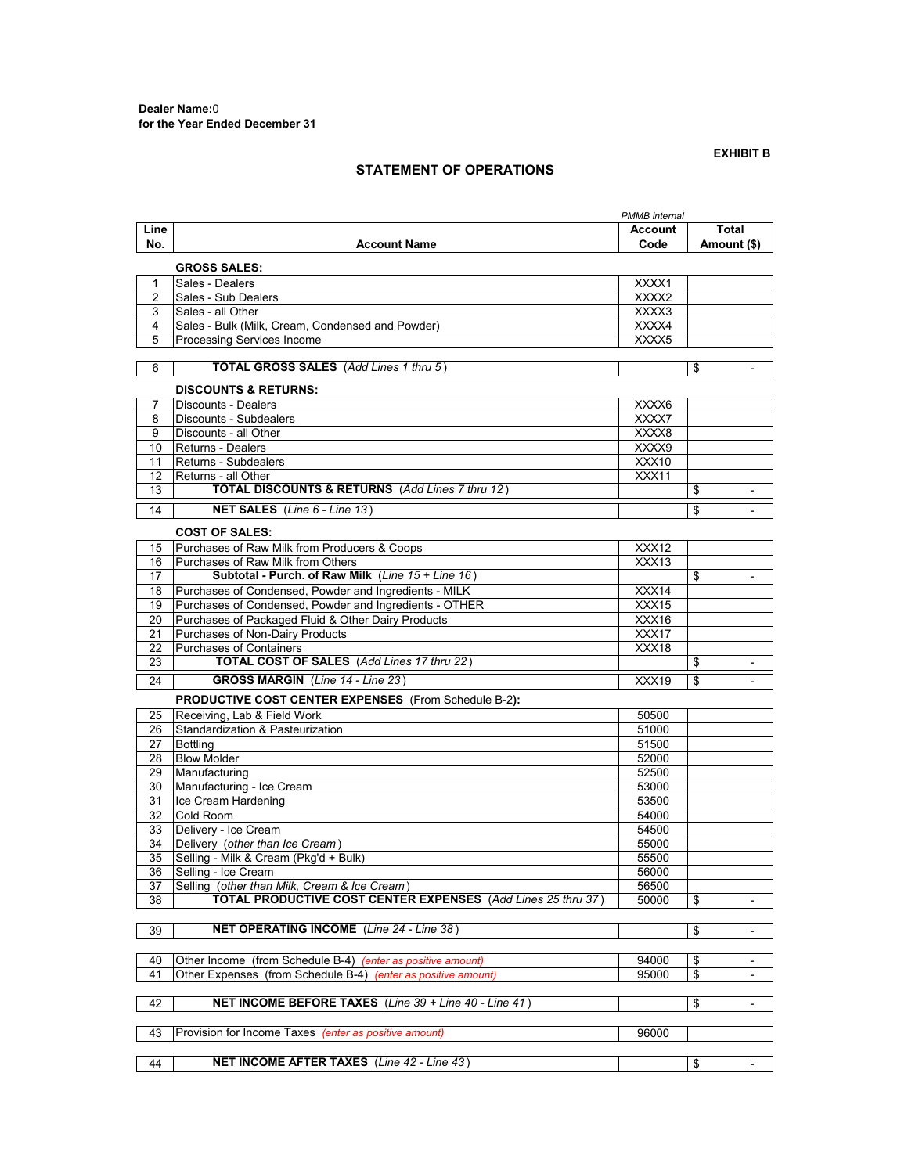### **EXHIBIT B**

## **STATEMENT OF OPERATIONS**

|              |                                                               | PMMB internal |             |                          |
|--------------|---------------------------------------------------------------|---------------|-------------|--------------------------|
| Line         |                                                               | Account       | Total       |                          |
| No.          | <b>Account Name</b>                                           | Code          | Amount (\$) |                          |
|              |                                                               |               |             |                          |
|              | <b>GROSS SALES:</b>                                           |               |             |                          |
| $\mathbf{1}$ | Sales - Dealers                                               | XXXX1         |             |                          |
| 2            | Sales - Sub Dealers                                           | XXXX2         |             |                          |
| 3            | Sales - all Other                                             | XXXX3         |             |                          |
| 4            | Sales - Bulk (Milk, Cream, Condensed and Powder)              | XXXX4         |             |                          |
| 5            | Processing Services Income                                    | XXXX5         |             |                          |
| 6            | TOTAL GROSS SALES (Add Lines 1 thru 5)                        |               | \$          |                          |
|              |                                                               |               |             |                          |
|              | <b>DISCOUNTS &amp; RETURNS:</b>                               |               |             |                          |
| 7            | Discounts - Dealers                                           | XXXX6         |             |                          |
| 8            | Discounts - Subdealers                                        | XXXX7         |             |                          |
| 9            | Discounts - all Other                                         | XXXX8         |             |                          |
| 10           | <b>Returns - Dealers</b>                                      | XXXX9         |             |                          |
| 11           | Returns - Subdealers                                          | XXX10         |             |                          |
| 12           | Returns - all Other                                           | XXX11         |             |                          |
| 13           | <b>TOTAL DISCOUNTS &amp; RETURNS</b> (Add Lines 7 thru 12)    |               | \$          | $\overline{\phantom{a}}$ |
| 14           | <b>NET SALES</b> (Line $6$ - Line $13$ )                      |               | \$          | $\overline{\phantom{a}}$ |
|              |                                                               |               |             |                          |
|              | <b>COST OF SALES:</b>                                         |               |             |                          |
| 15           | Purchases of Raw Milk from Producers & Coops                  | XXX12         |             |                          |
| 16           | Purchases of Raw Milk from Others                             | XXX13         |             |                          |
| 17           | Subtotal - Purch. of Raw Milk (Line 15 + Line 16)             |               | \$          |                          |
| 18           | Purchases of Condensed, Powder and Ingredients - MILK         | XXX14         |             |                          |
| 19           | Purchases of Condensed, Powder and Ingredients - OTHER        | XXX15         |             |                          |
| 20           | Purchases of Packaged Fluid & Other Dairy Products            | XXX16         |             |                          |
| 21           | Purchases of Non-Dairy Products                               | XXX17         |             |                          |
| 22           | <b>Purchases of Containers</b>                                | XXX18         |             |                          |
| 23           | TOTAL COST OF SALES (Add Lines 17 thru 22)                    |               | \$          | $\overline{\phantom{a}}$ |
| 24           | <b>GROSS MARGIN</b> (Line 14 - Line 23)                       | XXX19         | \$          | $\overline{\phantom{a}}$ |
|              | <b>PRODUCTIVE COST CENTER EXPENSES</b> (From Schedule B-2):   |               |             |                          |
| 25           | Receiving, Lab & Field Work                                   | 50500         |             |                          |
| 26           | Standardization & Pasteurization                              | 51000         |             |                          |
| 27           | <b>Bottling</b>                                               | 51500         |             |                          |
| 28           | <b>Blow Molder</b>                                            | 52000         |             |                          |
| 29           | Manufacturing                                                 | 52500         |             |                          |
| 30           | Manufacturing - Ice Cream                                     | 53000         |             |                          |
| 31           | Ice Cream Hardening                                           | 53500         |             |                          |
| 32           | Cold Room                                                     | 54000         |             |                          |
| 33           | Delivery - Ice Cream                                          | 54500         |             |                          |
| 34           | Delivery (other than Ice Cream)                               | 55000         |             |                          |
| 35           | Selling - Milk & Cream (Pkg'd + Bulk)                         | 55500         |             |                          |
| 36           | Selling - Ice Cream                                           | 56000         |             |                          |
| 37           | Selling (other than Milk, Cream & Ice Cream)                  | 56500         |             |                          |
| 38           | TOTAL PRODUCTIVE COST CENTER EXPENSES (Add Lines 25 thru 37)  | 50000         | \$          | $\blacksquare$           |
|              |                                                               |               |             |                          |
| 39           | NET OPERATING INCOME (Line 24 - Line 38)                      |               | \$          | $\overline{\phantom{a}}$ |
|              |                                                               |               |             |                          |
| 40           | Other Income (from Schedule B-4) (enter as positive amount)   | 94000         | \$          |                          |
| 41           | Other Expenses (from Schedule B-4) (enter as positive amount) | 95000         | \$          | $\overline{\phantom{a}}$ |
|              |                                                               |               |             |                          |
| 42           | NET INCOME BEFORE TAXES (Line 39 + Line 40 - Line 41)         |               | \$          |                          |
|              |                                                               |               |             |                          |
| 43           | Provision for Income Taxes (enter as positive amount)         | 96000         |             |                          |
|              |                                                               |               |             |                          |
| 44           | <b>NET INCOME AFTER TAXES</b> (Line 42 - Line 43)             |               | \$          | $\overline{\phantom{a}}$ |
|              |                                                               |               |             |                          |